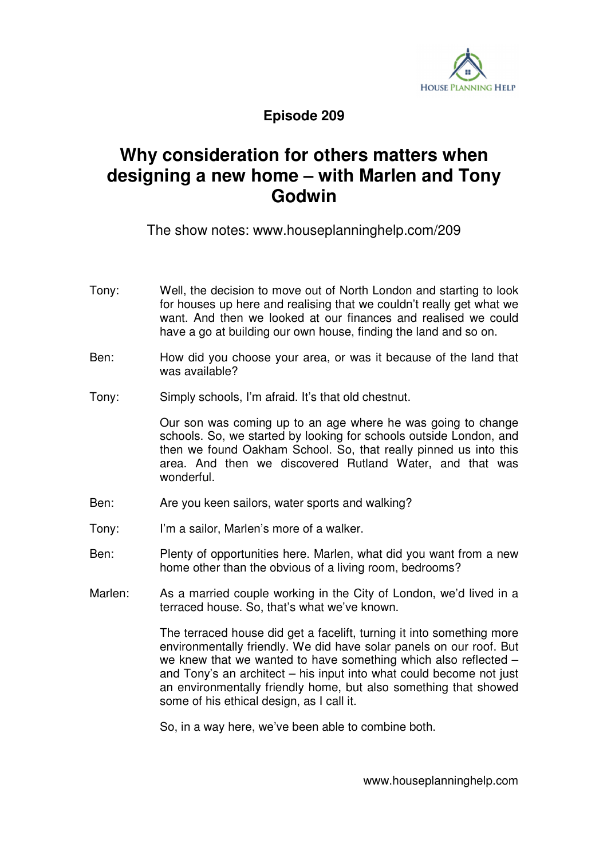

## **Episode 209**

## **Why consideration for others matters when designing a new home – with Marlen and Tony Godwin**

The show notes: www.houseplanninghelp.com/209

- Tony: Well, the decision to move out of North London and starting to look for houses up here and realising that we couldn't really get what we want. And then we looked at our finances and realised we could have a go at building our own house, finding the land and so on.
- Ben: How did you choose your area, or was it because of the land that was available?
- Tony: Simply schools, I'm afraid. It's that old chestnut.

 Our son was coming up to an age where he was going to change schools. So, we started by looking for schools outside London, and then we found Oakham School. So, that really pinned us into this area. And then we discovered Rutland Water, and that was wonderful.

- Ben: Are you keen sailors, water sports and walking?
- Tony: I'm a sailor, Marlen's more of a walker.
- Ben: Plenty of opportunities here. Marlen, what did you want from a new home other than the obvious of a living room, bedrooms?
- Marlen: As a married couple working in the City of London, we'd lived in a terraced house. So, that's what we've known.

 The terraced house did get a facelift, turning it into something more environmentally friendly. We did have solar panels on our roof. But we knew that we wanted to have something which also reflected – and Tony's an architect – his input into what could become not just an environmentally friendly home, but also something that showed some of his ethical design, as I call it.

So, in a way here, we've been able to combine both.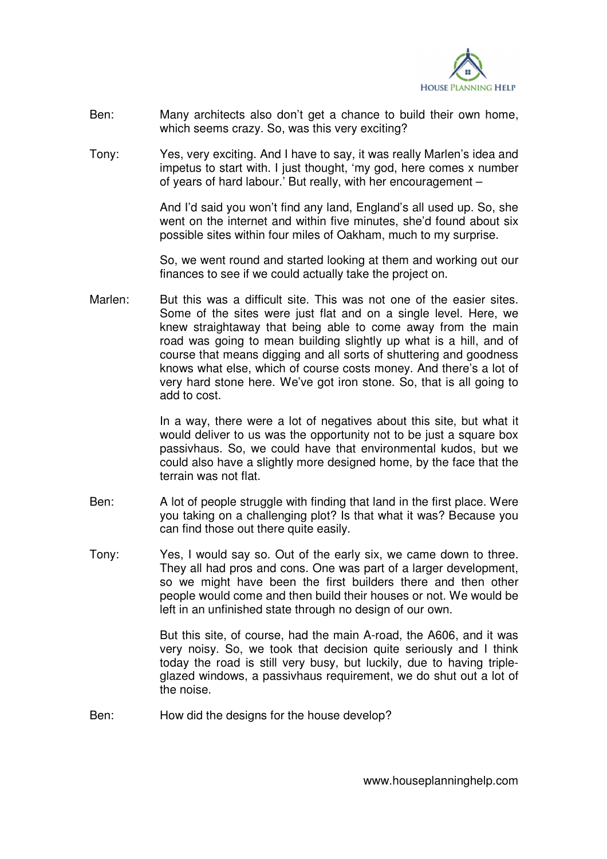

- Ben: Many architects also don't get a chance to build their own home, which seems crazy. So, was this very exciting?
- Tony: Yes, very exciting. And I have to say, it was really Marlen's idea and impetus to start with. I just thought, 'my god, here comes x number of years of hard labour.' But really, with her encouragement –

 And I'd said you won't find any land, England's all used up. So, she went on the internet and within five minutes, she'd found about six possible sites within four miles of Oakham, much to my surprise.

 So, we went round and started looking at them and working out our finances to see if we could actually take the project on.

Marlen: But this was a difficult site. This was not one of the easier sites. Some of the sites were just flat and on a single level. Here, we knew straightaway that being able to come away from the main road was going to mean building slightly up what is a hill, and of course that means digging and all sorts of shuttering and goodness knows what else, which of course costs money. And there's a lot of very hard stone here. We've got iron stone. So, that is all going to add to cost.

> In a way, there were a lot of negatives about this site, but what it would deliver to us was the opportunity not to be just a square box passivhaus. So, we could have that environmental kudos, but we could also have a slightly more designed home, by the face that the terrain was not flat.

- Ben: A lot of people struggle with finding that land in the first place. Were you taking on a challenging plot? Is that what it was? Because you can find those out there quite easily.
- Tony: Yes, I would say so. Out of the early six, we came down to three. They all had pros and cons. One was part of a larger development, so we might have been the first builders there and then other people would come and then build their houses or not. We would be left in an unfinished state through no design of our own.

 But this site, of course, had the main A-road, the A606, and it was very noisy. So, we took that decision quite seriously and I think today the road is still very busy, but luckily, due to having tripleglazed windows, a passivhaus requirement, we do shut out a lot of the noise.

Ben: How did the designs for the house develop?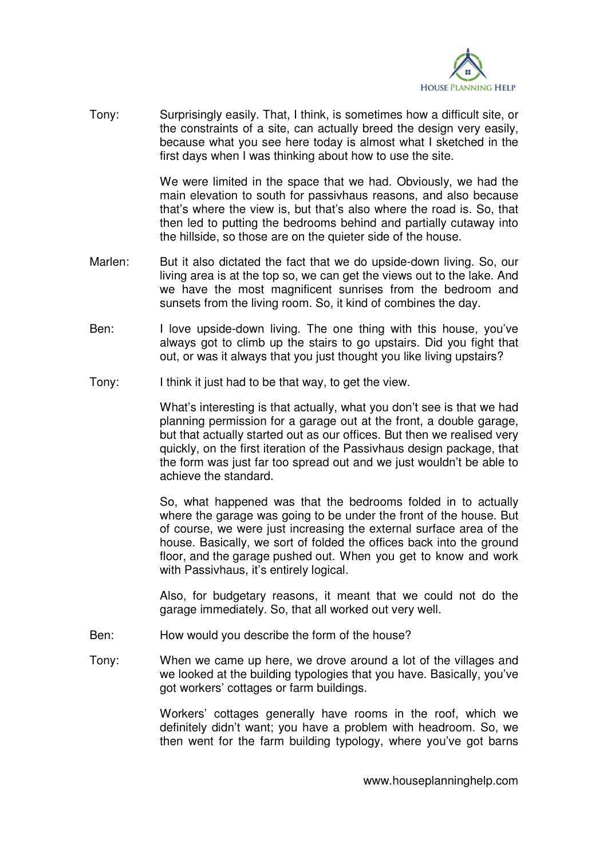

Tony: Surprisingly easily. That, I think, is sometimes how a difficult site, or the constraints of a site, can actually breed the design very easily, because what you see here today is almost what I sketched in the first days when I was thinking about how to use the site.

> We were limited in the space that we had. Obviously, we had the main elevation to south for passivhaus reasons, and also because that's where the view is, but that's also where the road is. So, that then led to putting the bedrooms behind and partially cutaway into the hillside, so those are on the quieter side of the house.

- Marlen: But it also dictated the fact that we do upside-down living. So, our living area is at the top so, we can get the views out to the lake. And we have the most magnificent sunrises from the bedroom and sunsets from the living room. So, it kind of combines the day.
- Ben: I love upside-down living. The one thing with this house, you've always got to climb up the stairs to go upstairs. Did you fight that out, or was it always that you just thought you like living upstairs?
- Tony: I think it just had to be that way, to get the view.

 What's interesting is that actually, what you don't see is that we had planning permission for a garage out at the front, a double garage, but that actually started out as our offices. But then we realised very quickly, on the first iteration of the Passivhaus design package, that the form was just far too spread out and we just wouldn't be able to achieve the standard.

 So, what happened was that the bedrooms folded in to actually where the garage was going to be under the front of the house. But of course, we were just increasing the external surface area of the house. Basically, we sort of folded the offices back into the ground floor, and the garage pushed out. When you get to know and work with Passivhaus, it's entirely logical.

 Also, for budgetary reasons, it meant that we could not do the garage immediately. So, that all worked out very well.

- Ben: How would you describe the form of the house?
- Tony: When we came up here, we drove around a lot of the villages and we looked at the building typologies that you have. Basically, you've got workers' cottages or farm buildings.

 Workers' cottages generally have rooms in the roof, which we definitely didn't want; you have a problem with headroom. So, we then went for the farm building typology, where you've got barns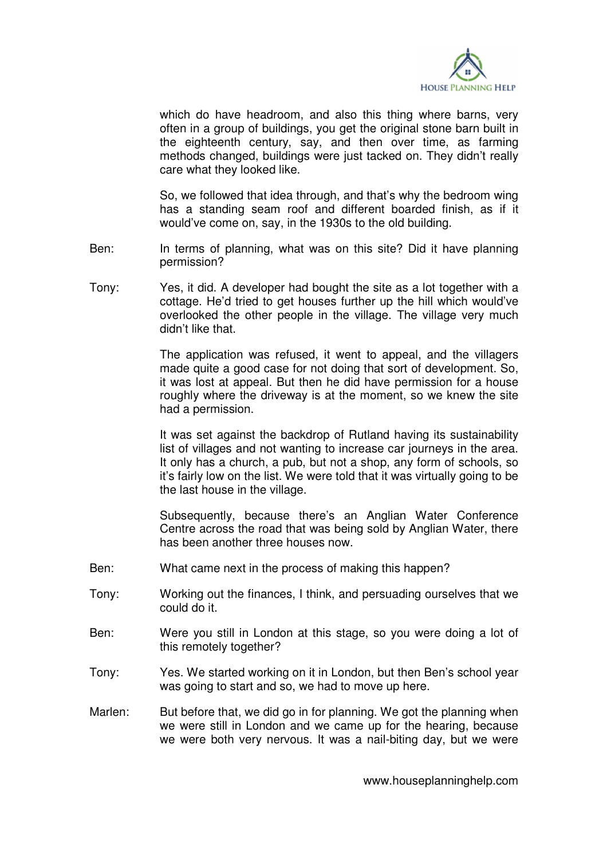

which do have headroom, and also this thing where barns, very often in a group of buildings, you get the original stone barn built in the eighteenth century, say, and then over time, as farming methods changed, buildings were just tacked on. They didn't really care what they looked like.

 So, we followed that idea through, and that's why the bedroom wing has a standing seam roof and different boarded finish, as if it would've come on, say, in the 1930s to the old building.

- Ben: In terms of planning, what was on this site? Did it have planning permission?
- Tony: Yes, it did. A developer had bought the site as a lot together with a cottage. He'd tried to get houses further up the hill which would've overlooked the other people in the village. The village very much didn't like that.

 The application was refused, it went to appeal, and the villagers made quite a good case for not doing that sort of development. So, it was lost at appeal. But then he did have permission for a house roughly where the driveway is at the moment, so we knew the site had a permission.

 It was set against the backdrop of Rutland having its sustainability list of villages and not wanting to increase car journeys in the area. It only has a church, a pub, but not a shop, any form of schools, so it's fairly low on the list. We were told that it was virtually going to be the last house in the village.

 Subsequently, because there's an Anglian Water Conference Centre across the road that was being sold by Anglian Water, there has been another three houses now.

- Ben: What came next in the process of making this happen?
- Tony: Working out the finances, I think, and persuading ourselves that we could do it.
- Ben: Were you still in London at this stage, so you were doing a lot of this remotely together?
- Tony: Yes. We started working on it in London, but then Ben's school year was going to start and so, we had to move up here.
- Marlen: But before that, we did go in for planning. We got the planning when we were still in London and we came up for the hearing, because we were both very nervous. It was a nail-biting day, but we were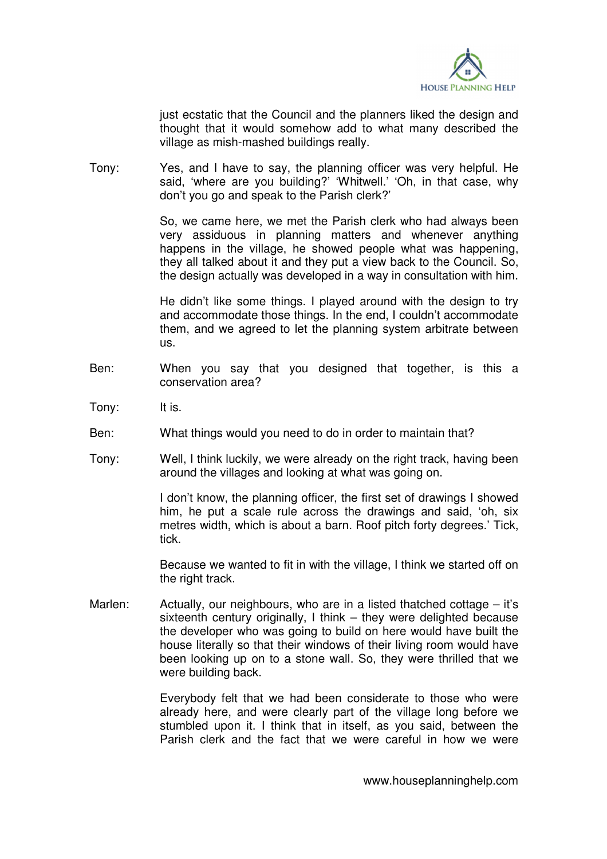

just ecstatic that the Council and the planners liked the design and thought that it would somehow add to what many described the village as mish-mashed buildings really.

Tony: Yes, and I have to say, the planning officer was very helpful. He said, 'where are you building?' 'Whitwell.' 'Oh, in that case, why don't you go and speak to the Parish clerk?'

> So, we came here, we met the Parish clerk who had always been very assiduous in planning matters and whenever anything happens in the village, he showed people what was happening, they all talked about it and they put a view back to the Council. So, the design actually was developed in a way in consultation with him.

> He didn't like some things. I played around with the design to try and accommodate those things. In the end, I couldn't accommodate them, and we agreed to let the planning system arbitrate between us.

- Ben: When you say that you designed that together, is this a conservation area?
- Tony: It is.
- Ben: What things would you need to do in order to maintain that?
- Tony: Well, I think luckily, we were already on the right track, having been around the villages and looking at what was going on.

 I don't know, the planning officer, the first set of drawings I showed him, he put a scale rule across the drawings and said, 'oh, six metres width, which is about a barn. Roof pitch forty degrees.' Tick, tick.

 Because we wanted to fit in with the village, I think we started off on the right track.

Marlen: Actually, our neighbours, who are in a listed thatched cottage  $-$  it's sixteenth century originally, I think – they were delighted because the developer who was going to build on here would have built the house literally so that their windows of their living room would have been looking up on to a stone wall. So, they were thrilled that we were building back.

> Everybody felt that we had been considerate to those who were already here, and were clearly part of the village long before we stumbled upon it. I think that in itself, as you said, between the Parish clerk and the fact that we were careful in how we were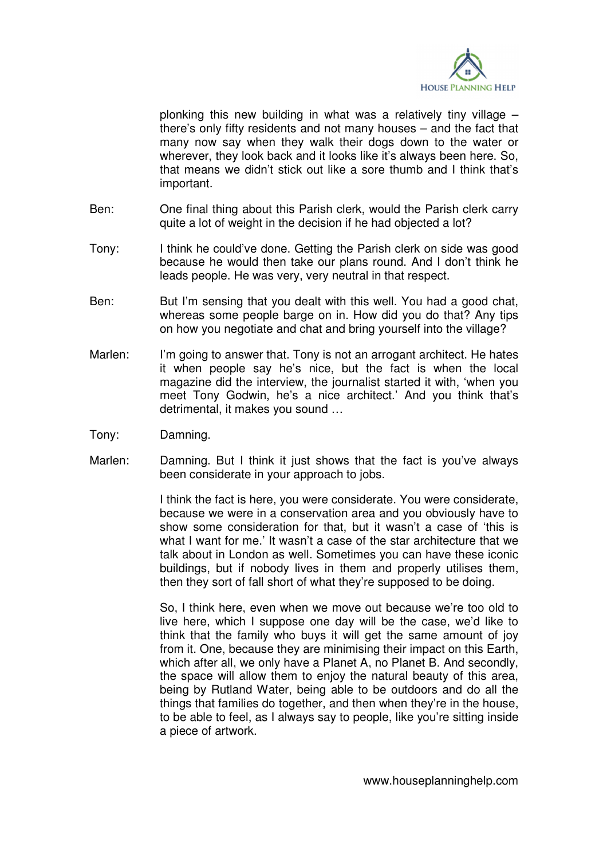

plonking this new building in what was a relatively tiny village – there's only fifty residents and not many houses – and the fact that many now say when they walk their dogs down to the water or wherever, they look back and it looks like it's always been here. So, that means we didn't stick out like a sore thumb and I think that's important.

- Ben: One final thing about this Parish clerk, would the Parish clerk carry quite a lot of weight in the decision if he had objected a lot?
- Tony: I think he could've done. Getting the Parish clerk on side was good because he would then take our plans round. And I don't think he leads people. He was very, very neutral in that respect.
- Ben: But I'm sensing that you dealt with this well. You had a good chat, whereas some people barge on in. How did you do that? Any tips on how you negotiate and chat and bring yourself into the village?
- Marlen: I'm going to answer that. Tony is not an arrogant architect. He hates it when people say he's nice, but the fact is when the local magazine did the interview, the journalist started it with, 'when you meet Tony Godwin, he's a nice architect.' And you think that's detrimental, it makes you sound …
- Tony: Damning.
- Marlen: Damning. But I think it just shows that the fact is you've always been considerate in your approach to jobs.

 I think the fact is here, you were considerate. You were considerate, because we were in a conservation area and you obviously have to show some consideration for that, but it wasn't a case of 'this is what I want for me.' It wasn't a case of the star architecture that we talk about in London as well. Sometimes you can have these iconic buildings, but if nobody lives in them and properly utilises them, then they sort of fall short of what they're supposed to be doing.

 So, I think here, even when we move out because we're too old to live here, which I suppose one day will be the case, we'd like to think that the family who buys it will get the same amount of joy from it. One, because they are minimising their impact on this Earth, which after all, we only have a Planet A, no Planet B. And secondly, the space will allow them to enjoy the natural beauty of this area, being by Rutland Water, being able to be outdoors and do all the things that families do together, and then when they're in the house, to be able to feel, as I always say to people, like you're sitting inside a piece of artwork.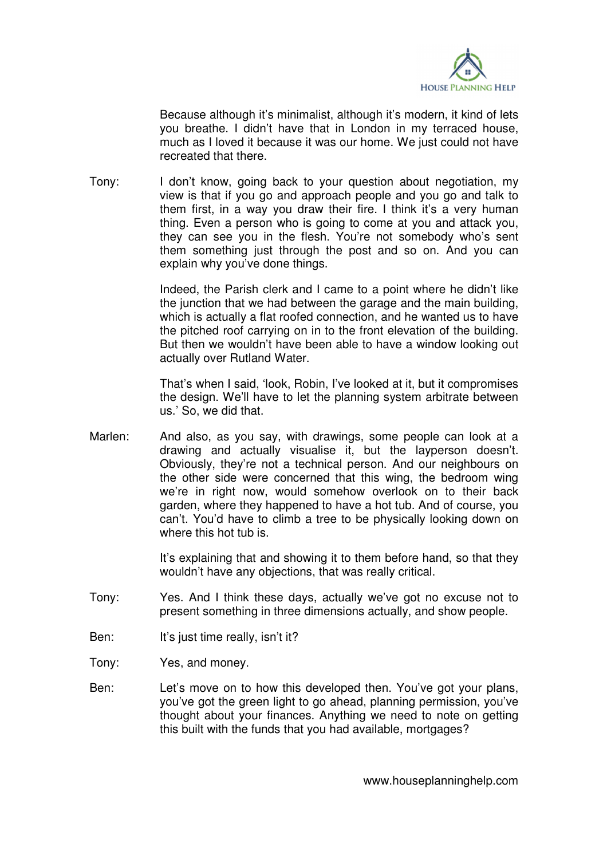

 Because although it's minimalist, although it's modern, it kind of lets you breathe. I didn't have that in London in my terraced house, much as I loved it because it was our home. We just could not have recreated that there.

Tony: I don't know, going back to your question about negotiation, my view is that if you go and approach people and you go and talk to them first, in a way you draw their fire. I think it's a very human thing. Even a person who is going to come at you and attack you, they can see you in the flesh. You're not somebody who's sent them something just through the post and so on. And you can explain why you've done things.

> Indeed, the Parish clerk and I came to a point where he didn't like the junction that we had between the garage and the main building, which is actually a flat roofed connection, and he wanted us to have the pitched roof carrying on in to the front elevation of the building. But then we wouldn't have been able to have a window looking out actually over Rutland Water.

> That's when I said, 'look, Robin, I've looked at it, but it compromises the design. We'll have to let the planning system arbitrate between us.' So, we did that.

Marlen: And also, as you say, with drawings, some people can look at a drawing and actually visualise it, but the layperson doesn't. Obviously, they're not a technical person. And our neighbours on the other side were concerned that this wing, the bedroom wing we're in right now, would somehow overlook on to their back garden, where they happened to have a hot tub. And of course, you can't. You'd have to climb a tree to be physically looking down on where this hot tub is.

> It's explaining that and showing it to them before hand, so that they wouldn't have any objections, that was really critical.

- Tony: Yes. And I think these days, actually we've got no excuse not to present something in three dimensions actually, and show people.
- Ben: It's just time really, isn't it?
- Tony: Yes, and money.
- Ben: Let's move on to how this developed then. You've got your plans, you've got the green light to go ahead, planning permission, you've thought about your finances. Anything we need to note on getting this built with the funds that you had available, mortgages?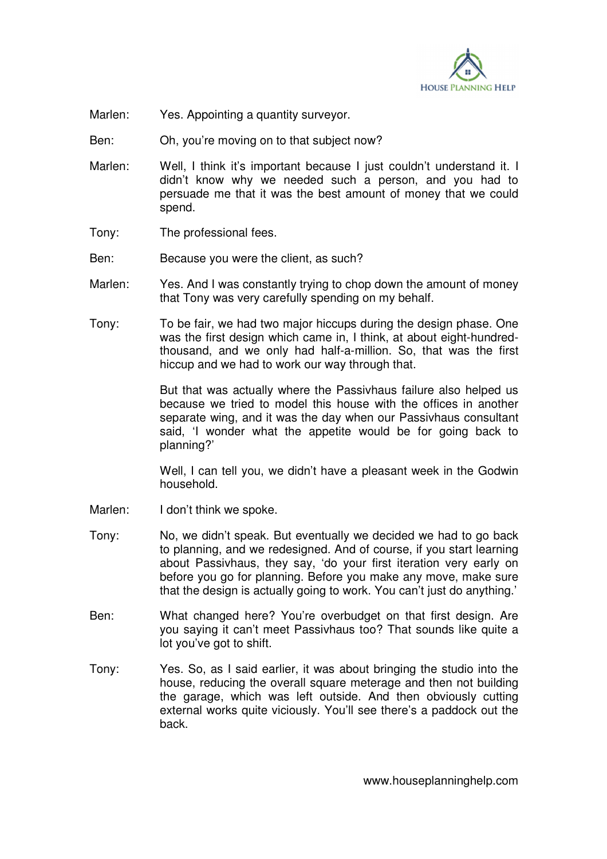

- Marlen: Yes. Appointing a quantity surveyor.
- Ben: Oh, you're moving on to that subject now?
- Marlen: Well, I think it's important because I just couldn't understand it. I didn't know why we needed such a person, and you had to persuade me that it was the best amount of money that we could spend.
- Tony: The professional fees.
- Ben: Because you were the client, as such?
- Marlen: Yes. And I was constantly trying to chop down the amount of money that Tony was very carefully spending on my behalf.
- Tony: To be fair, we had two major hiccups during the design phase. One was the first design which came in, I think, at about eight-hundredthousand, and we only had half-a-million. So, that was the first hiccup and we had to work our way through that.

 But that was actually where the Passivhaus failure also helped us because we tried to model this house with the offices in another separate wing, and it was the day when our Passivhaus consultant said, 'I wonder what the appetite would be for going back to planning?'

 Well, I can tell you, we didn't have a pleasant week in the Godwin household.

- Marlen: I don't think we spoke.
- Tony: No, we didn't speak. But eventually we decided we had to go back to planning, and we redesigned. And of course, if you start learning about Passivhaus, they say, 'do your first iteration very early on before you go for planning. Before you make any move, make sure that the design is actually going to work. You can't just do anything.'
- Ben: What changed here? You're overbudget on that first design. Are you saying it can't meet Passivhaus too? That sounds like quite a lot you've got to shift.
- Tony: Yes. So, as I said earlier, it was about bringing the studio into the house, reducing the overall square meterage and then not building the garage, which was left outside. And then obviously cutting external works quite viciously. You'll see there's a paddock out the back.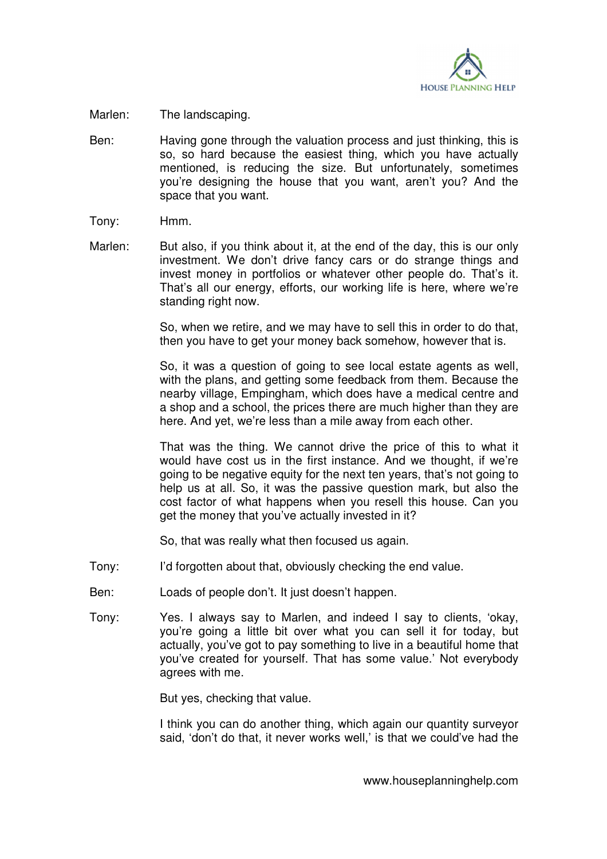

- Marlen: The landscaping.
- Ben: Having gone through the valuation process and just thinking, this is so, so hard because the easiest thing, which you have actually mentioned, is reducing the size. But unfortunately, sometimes you're designing the house that you want, aren't you? And the space that you want.
- Tony: Hmm.
- Marlen: But also, if you think about it, at the end of the day, this is our only investment. We don't drive fancy cars or do strange things and invest money in portfolios or whatever other people do. That's it. That's all our energy, efforts, our working life is here, where we're standing right now.

 So, when we retire, and we may have to sell this in order to do that, then you have to get your money back somehow, however that is.

 So, it was a question of going to see local estate agents as well, with the plans, and getting some feedback from them. Because the nearby village, Empingham, which does have a medical centre and a shop and a school, the prices there are much higher than they are here. And yet, we're less than a mile away from each other.

 That was the thing. We cannot drive the price of this to what it would have cost us in the first instance. And we thought, if we're going to be negative equity for the next ten years, that's not going to help us at all. So, it was the passive question mark, but also the cost factor of what happens when you resell this house. Can you get the money that you've actually invested in it?

So, that was really what then focused us again.

- Tony: I'd forgotten about that, obviously checking the end value.
- Ben: Loads of people don't. It just doesn't happen.
- Tony: Yes. I always say to Marlen, and indeed I say to clients, 'okay, you're going a little bit over what you can sell it for today, but actually, you've got to pay something to live in a beautiful home that you've created for yourself. That has some value.' Not everybody agrees with me.

But yes, checking that value.

 I think you can do another thing, which again our quantity surveyor said, 'don't do that, it never works well,' is that we could've had the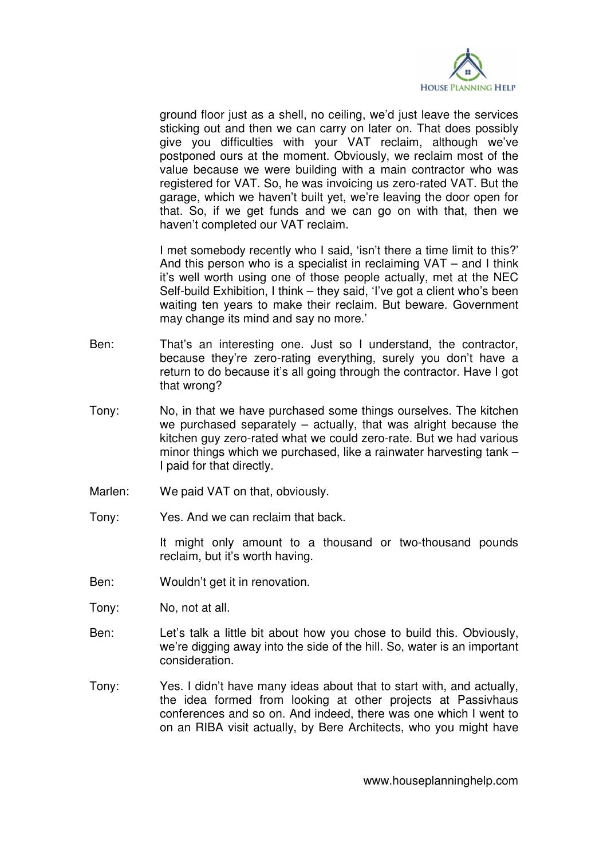

ground floor just as a shell, no ceiling, we'd just leave the services sticking out and then we can carry on later on. That does possibly give you difficulties with your VAT reclaim, although we've postponed ours at the moment. Obviously, we reclaim most of the value because we were building with a main contractor who was registered for VAT. So, he was invoicing us zero-rated VAT. But the garage, which we haven't built yet, we're leaving the door open for that. So, if we get funds and we can go on with that, then we haven't completed our VAT reclaim.

 I met somebody recently who I said, 'isn't there a time limit to this?' And this person who is a specialist in reclaiming VAT – and I think it's well worth using one of those people actually, met at the NEC Self-build Exhibition, I think – they said, 'I've got a client who's been waiting ten years to make their reclaim. But beware. Government may change its mind and say no more.'

- Ben: That's an interesting one. Just so I understand, the contractor, because they're zero-rating everything, surely you don't have a return to do because it's all going through the contractor. Have I got that wrong?
- Tony: No, in that we have purchased some things ourselves. The kitchen we purchased separately – actually, that was alright because the kitchen guy zero-rated what we could zero-rate. But we had various minor things which we purchased, like a rainwater harvesting tank – I paid for that directly.
- Marlen: We paid VAT on that, obviously.
- Tony: Yes. And we can reclaim that back.

 It might only amount to a thousand or two-thousand pounds reclaim, but it's worth having.

- Ben: Wouldn't get it in renovation.
- Tony: No, not at all.
- Ben: Let's talk a little bit about how you chose to build this. Obviously, we're digging away into the side of the hill. So, water is an important consideration.
- Tony: Yes. I didn't have many ideas about that to start with, and actually, the idea formed from looking at other projects at Passivhaus conferences and so on. And indeed, there was one which I went to on an RIBA visit actually, by Bere Architects, who you might have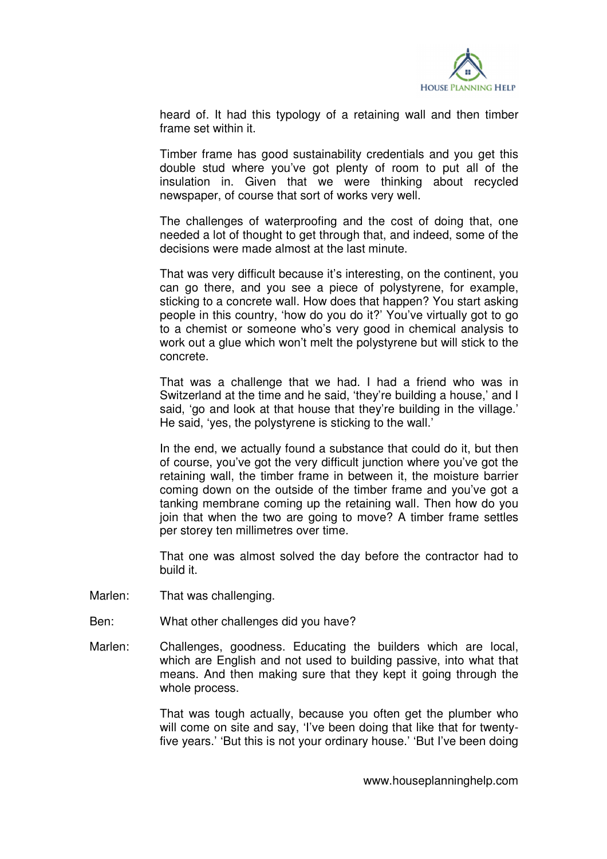

heard of. It had this typology of a retaining wall and then timber frame set within it.

 Timber frame has good sustainability credentials and you get this double stud where you've got plenty of room to put all of the insulation in. Given that we were thinking about recycled newspaper, of course that sort of works very well.

 The challenges of waterproofing and the cost of doing that, one needed a lot of thought to get through that, and indeed, some of the decisions were made almost at the last minute.

 That was very difficult because it's interesting, on the continent, you can go there, and you see a piece of polystyrene, for example, sticking to a concrete wall. How does that happen? You start asking people in this country, 'how do you do it?' You've virtually got to go to a chemist or someone who's very good in chemical analysis to work out a glue which won't melt the polystyrene but will stick to the concrete.

 That was a challenge that we had. I had a friend who was in Switzerland at the time and he said, 'they're building a house,' and I said, 'go and look at that house that they're building in the village.' He said, 'yes, the polystyrene is sticking to the wall.'

 In the end, we actually found a substance that could do it, but then of course, you've got the very difficult junction where you've got the retaining wall, the timber frame in between it, the moisture barrier coming down on the outside of the timber frame and you've got a tanking membrane coming up the retaining wall. Then how do you join that when the two are going to move? A timber frame settles per storey ten millimetres over time.

 That one was almost solved the day before the contractor had to build it.

- Marlen: That was challenging.
- Ben: What other challenges did you have?
- Marlen: Challenges, goodness. Educating the builders which are local, which are English and not used to building passive, into what that means. And then making sure that they kept it going through the whole process.

 That was tough actually, because you often get the plumber who will come on site and say, 'I've been doing that like that for twentyfive years.' 'But this is not your ordinary house.' 'But I've been doing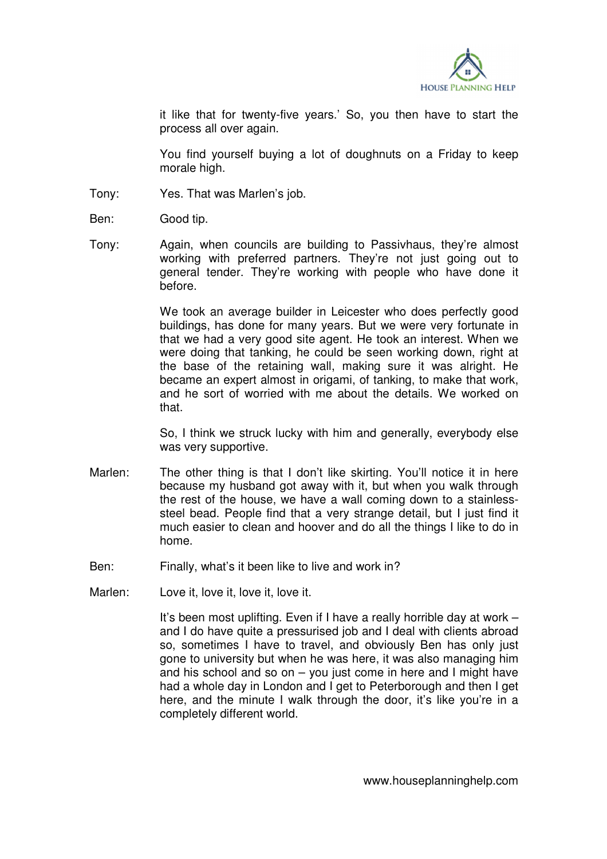

it like that for twenty-five years.' So, you then have to start the process all over again.

 You find yourself buying a lot of doughnuts on a Friday to keep morale high.

- Tony: Yes. That was Marlen's job.
- Ben: Good tip.
- Tony: Again, when councils are building to Passivhaus, they're almost working with preferred partners. They're not just going out to general tender. They're working with people who have done it before.

 We took an average builder in Leicester who does perfectly good buildings, has done for many years. But we were very fortunate in that we had a very good site agent. He took an interest. When we were doing that tanking, he could be seen working down, right at the base of the retaining wall, making sure it was alright. He became an expert almost in origami, of tanking, to make that work, and he sort of worried with me about the details. We worked on that.

 So, I think we struck lucky with him and generally, everybody else was very supportive.

- Marlen: The other thing is that I don't like skirting. You'll notice it in here because my husband got away with it, but when you walk through the rest of the house, we have a wall coming down to a stainlesssteel bead. People find that a very strange detail, but I just find it much easier to clean and hoover and do all the things I like to do in home.
- Ben: Finally, what's it been like to live and work in?
- Marlen: Love it, love it, love it, love it.

 It's been most uplifting. Even if I have a really horrible day at work – and I do have quite a pressurised job and I deal with clients abroad so, sometimes I have to travel, and obviously Ben has only just gone to university but when he was here, it was also managing him and his school and so on  $-$  you just come in here and I might have had a whole day in London and I get to Peterborough and then I get here, and the minute I walk through the door, it's like you're in a completely different world.